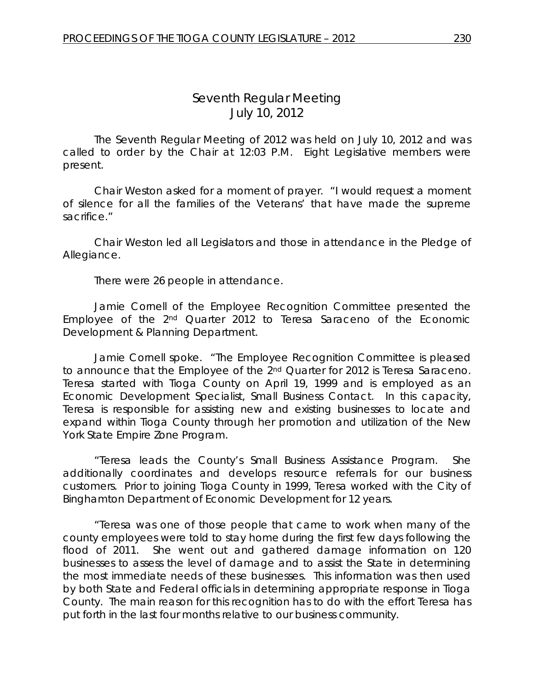# *Seventh Regular Meeting* July 10, 2012

The Seventh Regular Meeting of 2012 was held on July 10, 2012 and was called to order by the Chair at 12:03 P.M. Eight Legislative members were present.

Chair Weston asked for a moment of prayer. "I would request a moment of silence for all the families of the Veterans' that have made the supreme sacrifice."

Chair Weston led all Legislators and those in attendance in the Pledge of Allegiance.

There were 26 people in attendance.

Jamie Cornell of the Employee Recognition Committee presented the Employee of the 2nd Quarter 2012 to Teresa Saraceno of the Economic Development & Planning Department.

Jamie Cornell spoke. "The Employee Recognition Committee is pleased to announce that the Employee of the 2<sup>nd</sup> Quarter for 2012 is Teresa Saraceno. Teresa started with Tioga County on April 19, 1999 and is employed as an Economic Development Specialist, Small Business Contact. In this capacity, Teresa is responsible for assisting new and existing businesses to locate and expand within Tioga County through her promotion and utilization of the New York State Empire Zone Program.

"Teresa leads the County's Small Business Assistance Program. She additionally coordinates and develops resource referrals for our business customers. Prior to joining Tioga County in 1999, Teresa worked with the City of Binghamton Department of Economic Development for 12 years.

"Teresa was one of those people that came to work when many of the county employees were told to stay home during the first few days following the flood of 2011. She went out and gathered damage information on 120 businesses to assess the level of damage and to assist the State in determining the most immediate needs of these businesses. This information was then used by both State and Federal officials in determining appropriate response in Tioga County. The main reason for this recognition has to do with the effort Teresa has put forth in the last four months relative to our business community.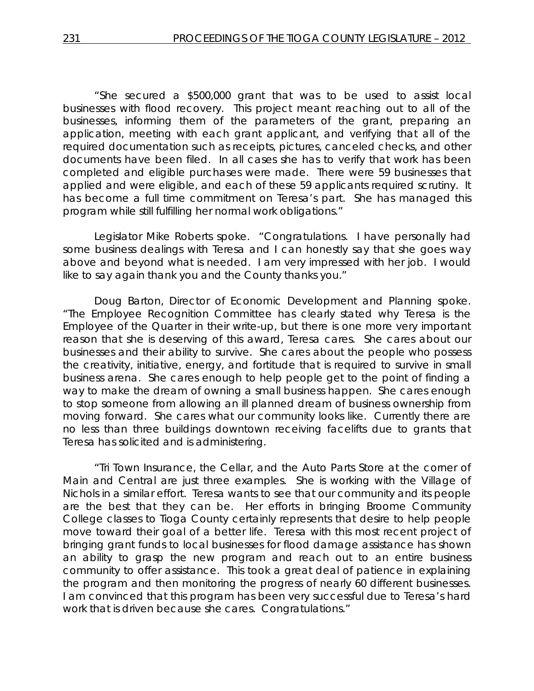"She secured a \$500,000 grant that was to be used to assist local businesses with flood recovery. This project meant reaching out to all of the businesses, informing them of the parameters of the grant, preparing an application, meeting with each grant applicant, and verifying that all of the required documentation such as receipts, pictures, canceled checks, and other documents have been filed. In all cases she has to verify that work has been completed and eligible purchases were made. There were 59 businesses that applied and were eligible, and each of these 59 applicants required scrutiny. It has become a full time commitment on Teresa's part. She has managed this program while still fulfilling her normal work obligations."

Legislator Mike Roberts spoke. "Congratulations. I have personally had some business dealings with Teresa and I can honestly say that she goes way above and beyond what is needed. I am very impressed with her job. I would like to say again thank you and the County thanks you."

Doug Barton, Director of Economic Development and Planning spoke. "The Employee Recognition Committee has clearly stated why Teresa is the Employee of the Quarter in their write-up, but there is one more very important reason that she is deserving of this award, Teresa cares. She cares about our businesses and their ability to survive. She cares about the people who possess the creativity, initiative, energy, and fortitude that is required to survive in small business arena. She cares enough to help people get to the point of finding a way to make the dream of owning a small business happen. She cares enough to stop someone from allowing an ill planned dream of business ownership from moving forward. She cares what our community looks like. Currently there are no less than three buildings downtown receiving facelifts due to grants that Teresa has solicited and is administering.

"Tri Town Insurance, the Cellar, and the Auto Parts Store at the corner of Main and Central are just three examples. She is working with the Village of Nichols in a similar effort. Teresa wants to see that our community and its people are the best that they can be. Her efforts in bringing Broome Community College classes to Tioga County certainly represents that desire to help people move toward their goal of a better life. Teresa with this most recent project of bringing grant funds to local businesses for flood damage assistance has shown an ability to grasp the new program and reach out to an entire business community to offer assistance. This took a great deal of patience in explaining the program and then monitoring the progress of nearly 60 different businesses. I am convinced that this program has been very successful due to Teresa's hard work that is driven because she cares. Congratulations."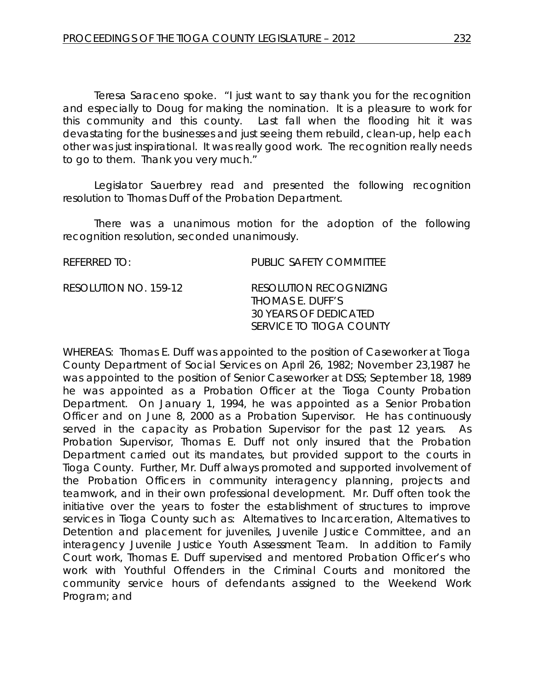Teresa Saraceno spoke. "I just want to say thank you for the recognition and especially to Doug for making the nomination. It is a pleasure to work for this community and this county. Last fall when the flooding hit it was devastating for the businesses and just seeing them rebuild, clean-up, help each other was just inspirational. It was really good work. The recognition really needs to go to them. Thank you very much."

Legislator Sauerbrey read and presented the following recognition resolution to Thomas Duff of the Probation Department.

There was a unanimous motion for the adoption of the following recognition resolution, seconded unanimously.

REFERRED TO: PUBLIC SAFETY COMMITTEE RESOLUTION NO. 159-12 *RESOLUTION RECOGNIZING THOMAS E. DUFF'S 30 YEARS OF DEDICATED SERVICE TO TIOGA COUNTY*

WHEREAS: Thomas E. Duff was appointed to the position of Caseworker at Tioga County Department of Social Services on April 26, 1982; November 23,1987 he was appointed to the position of Senior Caseworker at DSS; September 18, 1989 he was appointed as a Probation Officer at the Tioga County Probation Department. On January 1, 1994, he was appointed as a Senior Probation Officer and on June 8, 2000 as a Probation Supervisor. He has continuously served in the capacity as Probation Supervisor for the past 12 years. As Probation Supervisor, Thomas E. Duff not only insured that the Probation Department carried out its mandates, but provided support to the courts in Tioga County. Further, Mr. Duff always promoted and supported involvement of the Probation Officers in community interagency planning, projects and teamwork, and in their own professional development. Mr. Duff often took the initiative over the years to foster the establishment of structures to improve services in Tioga County such as: Alternatives to Incarceration, Alternatives to Detention and placement for juveniles, Juvenile Justice Committee, and an interagency Juvenile Justice Youth Assessment Team. In addition to Family Court work, Thomas E. Duff supervised and mentored Probation Officer's who work with Youthful Offenders in the Criminal Courts and monitored the community service hours of defendants assigned to the Weekend Work Program; and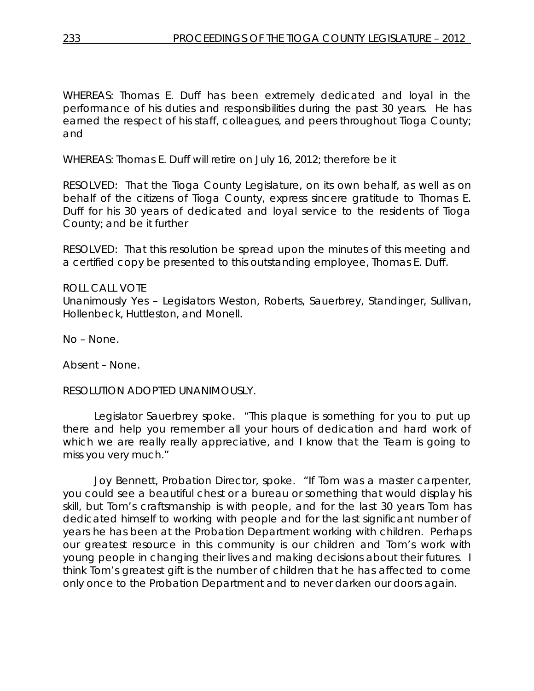WHEREAS: Thomas E. Duff has been extremely dedicated and loyal in the performance of his duties and responsibilities during the past 30 years. He has earned the respect of his staff, colleagues, and peers throughout Tioga County; and

WHEREAS: Thomas E. Duff will retire on July 16, 2012; therefore be it

RESOLVED: That the Tioga County Legislature, on its own behalf, as well as on behalf of the citizens of Tioga County, express sincere gratitude to Thomas E. Duff for his 30 years of dedicated and loyal service to the residents of Tioga County; and be it further

RESOLVED: That this resolution be spread upon the minutes of this meeting and a certified copy be presented to this outstanding employee, Thomas E. Duff.

### ROLL CALL VOTE

Unanimously Yes – Legislators Weston, Roberts, Sauerbrey, Standinger, Sullivan, Hollenbeck, Huttleston, and Monell.

No – None.

Absent – None.

### RESOLUTION ADOPTED UNANIMOUSLY.

Legislator Sauerbrey spoke. "This plaque is something for you to put up there and help you remember all your hours of dedication and hard work of which we are really really appreciative, and I know that the Team is going to miss you very much."

Joy Bennett, Probation Director, spoke. "If Tom was a master carpenter, you could see a beautiful chest or a bureau or something that would display his skill, but Tom's craftsmanship is with people, and for the last 30 years Tom has dedicated himself to working with people and for the last significant number of years he has been at the Probation Department working with children. Perhaps our greatest resource in this community is our children and Tom's work with young people in changing their lives and making decisions about their futures. I think Tom's greatest gift is the number of children that he has affected to come only once to the Probation Department and to never darken our doors again.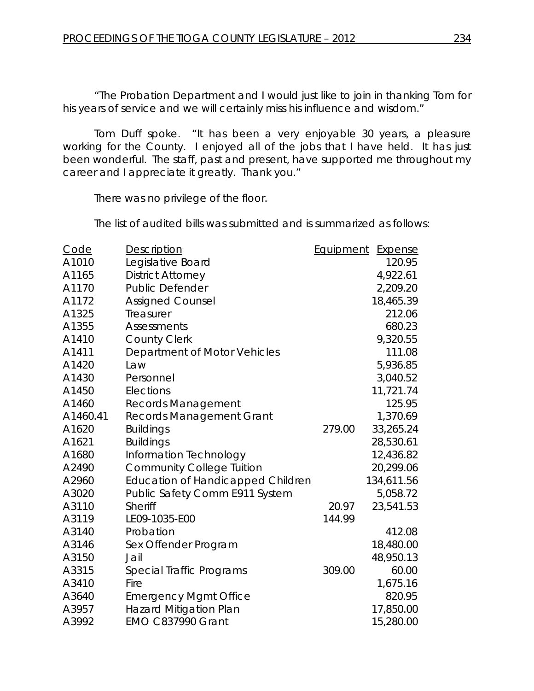"The Probation Department and I would just like to join in thanking Tom for his years of service and we will certainly miss his influence and wisdom."

Tom Duff spoke. "It has been a very enjoyable 30 years, a pleasure working for the County. I enjoyed all of the jobs that I have held. It has just been wonderful. The staff, past and present, have supported me throughout my career and I appreciate it greatly. Thank you."

There was no privilege of the floor.

The list of audited bills was submitted and is summarized as follows:

| Code     | Description                              | <b>Equipment</b> | <u>Expense</u> |
|----------|------------------------------------------|------------------|----------------|
| A1010    | Legislative Board                        |                  | 120.95         |
| A1165    | <b>District Attorney</b>                 |                  | 4,922.61       |
| A1170    | <b>Public Defender</b>                   |                  | 2,209.20       |
| A1172    | <b>Assigned Counsel</b>                  |                  | 18,465.39      |
| A1325    | Treasurer                                |                  | 212.06         |
| A1355    | <b>Assessments</b>                       |                  | 680.23         |
| A1410    | <b>County Clerk</b>                      |                  | 9,320.55       |
| A1411    | Department of Motor Vehicles             |                  | 111.08         |
| A1420    | Law                                      |                  | 5,936.85       |
| A1430    | Personnel                                |                  | 3,040.52       |
| A1450    | Elections                                |                  | 11,721.74      |
| A1460    | <b>Records Management</b>                |                  | 125.95         |
| A1460.41 | Records Management Grant                 |                  | 1,370.69       |
| A1620    | <b>Buildings</b>                         | 279.00           | 33,265.24      |
| A1621    | <b>Buildings</b>                         |                  | 28,530.61      |
| A1680    | Information Technology                   |                  | 12,436.82      |
| A2490    | <b>Community College Tuition</b>         |                  | 20,299.06      |
| A2960    | <b>Education of Handicapped Children</b> |                  | 134,611.56     |
| A3020    | Public Safety Comm E911 System           |                  | 5,058.72       |
| A3110    | <b>Sheriff</b>                           | 20.97            | 23,541.53      |
| A3119    | LE09-1035-E00                            | 144.99           |                |
| A3140    | Probation                                |                  | 412.08         |
| A3146    | Sex Offender Program                     |                  | 18,480.00      |
| A3150    | Jail                                     |                  | 48,950.13      |
| A3315    | Special Traffic Programs                 | 309.00           | 60.00          |
| A3410    | Fire                                     |                  | 1,675.16       |
| A3640    | <b>Emergency Mgmt Office</b>             |                  | 820.95         |
| A3957    | <b>Hazard Mitigation Plan</b>            |                  | 17,850.00      |
| A3992    | EMO C837990 Grant                        |                  | 15,280.00      |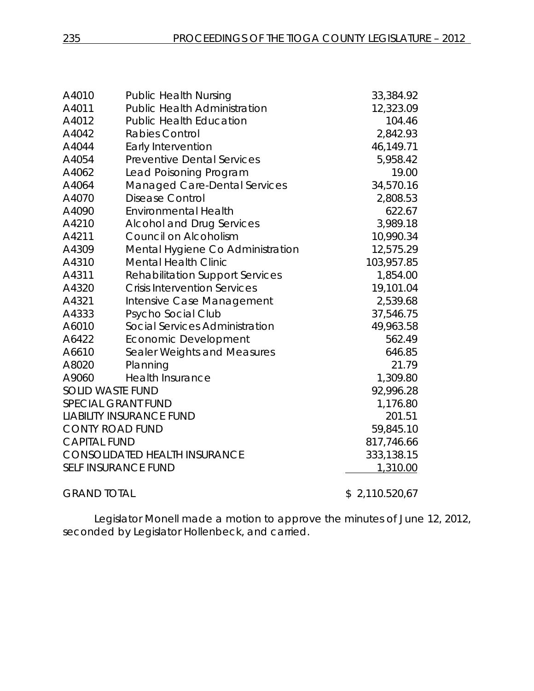| A4010                                | <b>Public Health Nursing</b>           | 33,384.92  |
|--------------------------------------|----------------------------------------|------------|
| A4011                                | <b>Public Health Administration</b>    | 12,323.09  |
| A4012                                | <b>Public Health Education</b>         | 104.46     |
| A4042                                | <b>Rabies Control</b>                  | 2,842.93   |
| A4044                                | <b>Early Intervention</b>              | 46,149.71  |
| A4054                                | <b>Preventive Dental Services</b>      | 5,958.42   |
| A4062                                | Lead Poisoning Program                 | 19.00      |
| A4064                                | <b>Managed Care-Dental Services</b>    | 34,570.16  |
| A4070                                | Disease Control                        | 2,808.53   |
| A4090                                | <b>Environmental Health</b>            | 622.67     |
| A4210                                | <b>Alcohol and Drug Services</b>       | 3,989.18   |
| A4211                                | Council on Alcoholism                  | 10,990.34  |
| A4309                                | Mental Hygiene Co Administration       | 12,575.29  |
| A4310                                | <b>Mental Health Clinic</b>            | 103,957.85 |
| A4311                                | <b>Rehabilitation Support Services</b> | 1,854.00   |
| A4320                                | <b>Crisis Intervention Services</b>    | 19,101.04  |
| A4321                                | Intensive Case Management              | 2,539.68   |
| A4333                                | Psycho Social Club                     | 37,546.75  |
| A6010                                | Social Services Administration         | 49,963.58  |
| A6422                                | Economic Development                   | 562.49     |
| A6610                                | Sealer Weights and Measures            | 646.85     |
| A8020                                | Planning                               | 21.79      |
| A9060                                | <b>Health Insurance</b>                | 1,309.80   |
| <b>SOLID WASTE FUND</b>              | 92,996.28                              |            |
|                                      | <b>SPECIAL GRANT FUND</b>              | 1,176.80   |
| <b>LIABILITY INSURANCE FUND</b>      |                                        | 201.51     |
| <b>CONTY ROAD FUND</b>               |                                        | 59,845.10  |
| <b>CAPITAL FUND</b>                  |                                        | 817,746.66 |
| <b>CONSOLIDATED HEALTH INSURANCE</b> |                                        | 333,138.15 |
| <b>SELF INSURANCE FUND</b>           | 1,310.00                               |            |
|                                      |                                        |            |

GRAND TOTAL \$2,110.520,67

Legislator Monell made a motion to approve the minutes of June 12, 2012, seconded by Legislator Hollenbeck, and carried.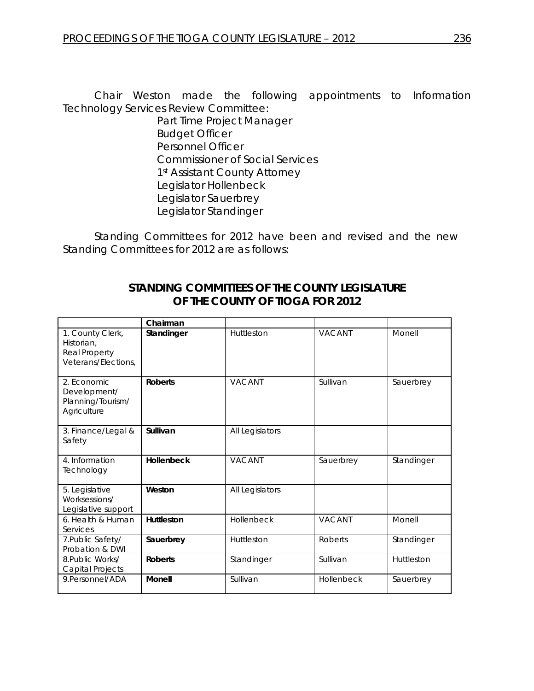Chair Weston made the following appointments to Information Technology Services Review Committee:

Part Time Project Manager Budget Officer Personnel Officer Commissioner of Social Services 1st Assistant County Attorney Legislator Hollenbeck Legislator Sauerbrey Legislator Standinger

Standing Committees for 2012 have been and revised and the new Standing Committees for 2012 are as follows:

|                                                                        | Chairman          |                 |               |            |
|------------------------------------------------------------------------|-------------------|-----------------|---------------|------------|
| 1. County Clerk,<br>Historian.<br>Real Property<br>Veterans/Elections, | Standinger        | Huttleston      | <b>VACANT</b> | Monell     |
| 2. Economic<br>Development/<br>Planning/Tourism/<br>Agriculture        | <b>Roberts</b>    | <b>VACANT</b>   | Sullivan      | Sauerbrey  |
| 3. Finance/Legal &<br>Safety                                           | Sullivan          | All Legislators |               |            |
| 4. Information<br>Technology                                           | <b>Hollenbeck</b> | <b>VACANT</b>   | Sauerbrey     | Standinger |
| 5. Legislative<br>Worksessions/<br>Legislative support                 | Weston            | All Legislators |               |            |
| 6. Health & Human<br>Services                                          | <b>Huttleston</b> | Hollenbeck      | <b>VACANT</b> | Monell     |
| 7. Public Safety/<br>Probation & DWI                                   | Sauerbrey         | Huttleston      | Roberts       | Standinger |
| 8. Public Works/<br>Capital Projects                                   | <b>Roberts</b>    | Standinger      | Sullivan      | Huttleston |
| 9.Personnel/ADA                                                        | Monell            | Sullivan        | Hollenbeck    | Sauerbrey  |

# *STANDING COMMITTEES OF THE COUNTY LEGISLATURE OF THE COUNTY OF TIOGA FOR 2012*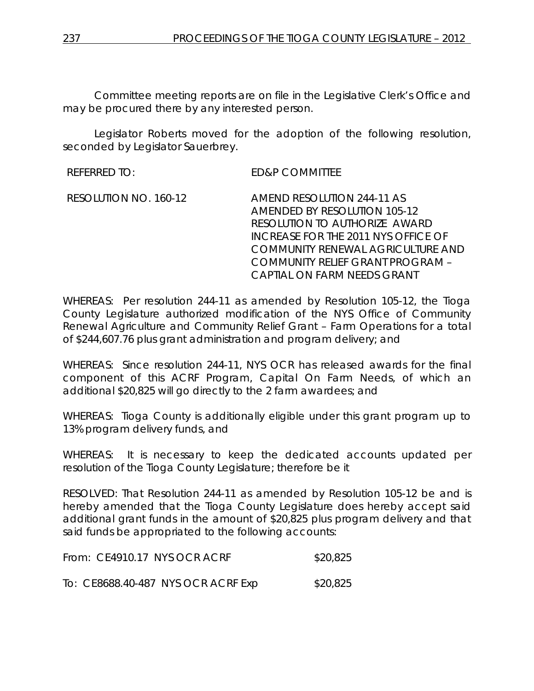Committee meeting reports are on file in the Legislative Clerk's Office and may be procured there by any interested person.

Legislator Roberts moved for the adoption of the following resolution, seconded by Legislator Sauerbrey.

REFERRED TO: ED&P COMMITTEE

RESOLUTION NO. 160-12 *AMEND RESOLUTION 244-11 AS AMENDED BY RESOLUTION 105-12 RESOLUTION TO AUTHORIZE AWARD INCREASE FOR THE 2011 NYS OFFICE OF COMMUNITY RENEWAL AGRICULTURE AND COMMUNITY RELIEF GRANT PROGRAM – CAPTIAL ON FARM NEEDS GRANT*

WHEREAS: Per resolution 244-11 as amended by Resolution 105-12, the Tioga County Legislature authorized modification of the NYS Office of Community Renewal Agriculture and Community Relief Grant – Farm Operations for a total of \$244,607.76 plus grant administration and program delivery; and

WHEREAS: Since resolution 244-11, NYS OCR has released awards for the final component of this ACRF Program, Capital On Farm Needs, of which an additional \$20,825 will go directly to the 2 farm awardees; and

WHEREAS: Tioga County is additionally eligible under this grant program up to 13% program delivery funds, and

WHEREAS: It is necessary to keep the dedicated accounts updated per resolution of the Tioga County Legislature; therefore be it

RESOLVED: That Resolution 244-11 as amended by Resolution 105-12 be and is hereby amended that the Tioga County Legislature does hereby accept said additional grant funds in the amount of \$20,825 plus program delivery and that said funds be appropriated to the following accounts:

| From: CE4910.17 NYS OCR ACRF       | \$20,825 |
|------------------------------------|----------|
| To: CE8688.40-487 NYS OCR ACRF Exp | \$20,825 |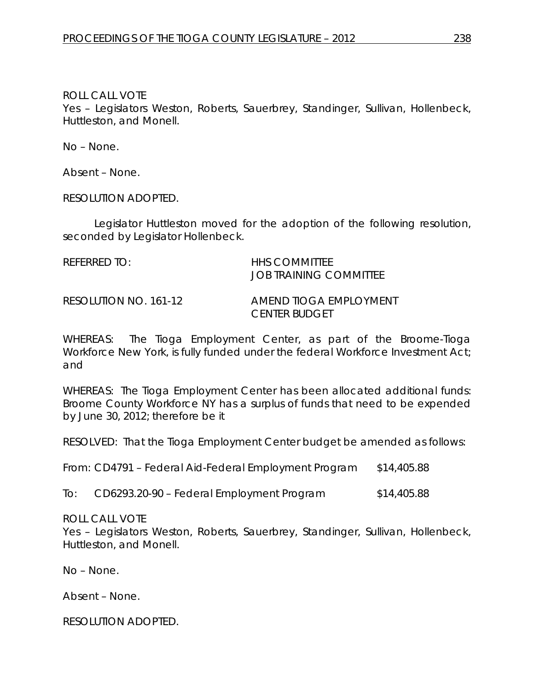ROLL CALL VOTE

Yes – Legislators Weston, Roberts, Sauerbrey, Standinger, Sullivan, Hollenbeck, Huttleston, and Monell.

No – None.

Absent – None.

RESOLUTION ADOPTED.

Legislator Huttleston moved for the adoption of the following resolution, seconded by Legislator Hollenbeck.

| REFERRED TO: | <b>HHS COMMITTEE</b>   |
|--------------|------------------------|
|              | JOB TRAINING COMMITTEE |
|              |                        |

RESOLUTION NO. 161-12 *AMEND TIOGA EMPLOYMENT CENTER BUDGET*

WHEREAS: The Tioga Employment Center, as part of the Broome-Tioga Workforce New York, is fully funded under the federal Workforce Investment Act; and

WHEREAS: The Tioga Employment Center has been allocated additional funds: Broome County Workforce NY has a surplus of funds that need to be expended by June 30, 2012; therefore be it

RESOLVED: That the Tioga Employment Center budget be amended as follows:

From: CD4791 – Federal Aid-Federal Employment Program \$14,405.88

To: CD6293.20-90 – Federal Employment Program \$14,405.88

ROLL CALL VOTE

Yes – Legislators Weston, Roberts, Sauerbrey, Standinger, Sullivan, Hollenbeck, Huttleston, and Monell.

No – None.

Absent – None.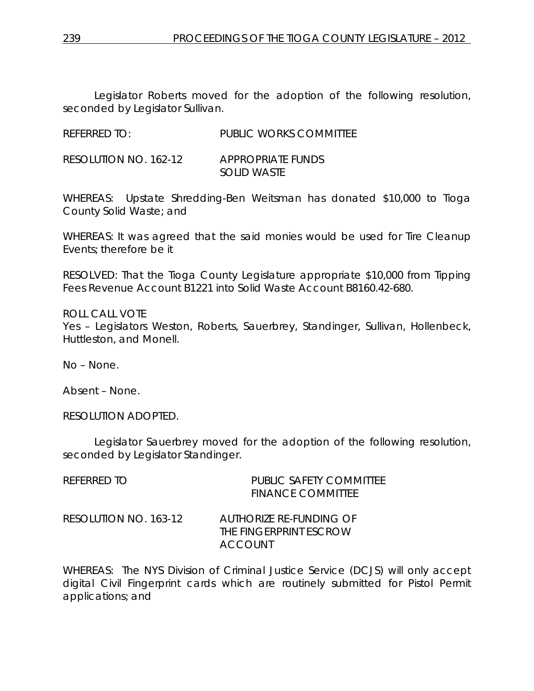Legislator Roberts moved for the adoption of the following resolution, seconded by Legislator Sullivan.

REFERRED TO: PUBLIC WORKS COMMITTEE

RESOLUTION NO. 162-12 *APPROPRIATE FUNDS SOLID WASTE*

WHEREAS: Upstate Shredding-Ben Weitsman has donated \$10,000 to Tioga County Solid Waste; and

WHEREAS: It was agreed that the said monies would be used for Tire Cleanup Events; therefore be it

RESOLVED: That the Tioga County Legislature appropriate \$10,000 from Tipping Fees Revenue Account B1221 into Solid Waste Account B8160.42-680.

ROLL CALL VOTE Yes – Legislators Weston, Roberts, Sauerbrey, Standinger, Sullivan, Hollenbeck, Huttleston, and Monell.

No – None.

Absent – None.

RESOLUTION ADOPTED.

Legislator Sauerbrey moved for the adoption of the following resolution, seconded by Legislator Standinger.

| REFERRED TO           | PUBLIC SAFETY COMMITTEE<br><b>FINANCE COMMITTEE</b>          |
|-----------------------|--------------------------------------------------------------|
| RESOLUTION NO. 163-12 | AUTHORIZE RE-FUNDING OF<br>THE FINGERPRINT ESCROW<br>ACCOUNT |

WHEREAS: The NYS Division of Criminal Justice Service (DCJS) will only accept digital Civil Fingerprint cards which are routinely submitted for Pistol Permit applications; and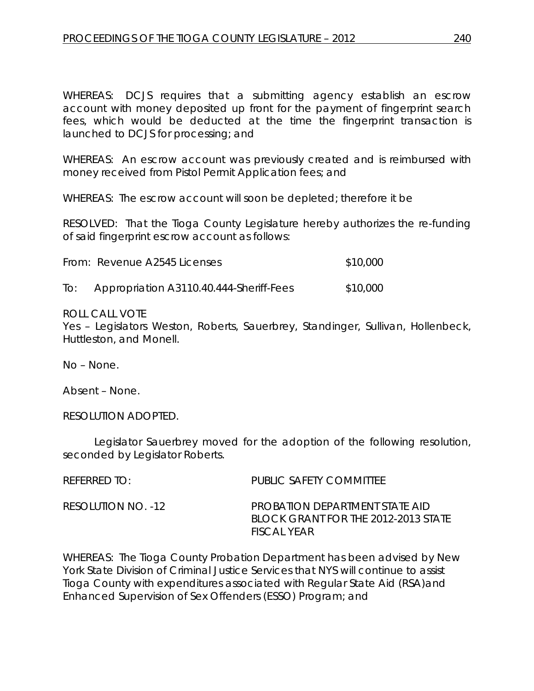WHEREAS: DCJS requires that a submitting agency establish an escrow account with money deposited up front for the payment of fingerprint search fees, which would be deducted at the time the fingerprint transaction is launched to DCJS for processing; and

WHEREAS: An escrow account was previously created and is reimbursed with money received from Pistol Permit Application fees; and

WHEREAS: The escrow account will soon be depleted; therefore it be

RESOLVED: That the Tioga County Legislature hereby authorizes the re-funding of said fingerprint escrow account as follows:

| From: Revenue A2545 Licenses | \$10,000 |
|------------------------------|----------|
|                              |          |

To: Appropriation A3110.40.444-Sheriff-Fees \$10,000

### ROLL CALL VOTE

Yes – Legislators Weston, Roberts, Sauerbrey, Standinger, Sullivan, Hollenbeck, Huttleston, and Monell.

No – None.

Absent – None.

RESOLUTION ADOPTED.

Legislator Sauerbrey moved for the adoption of the following resolution, seconded by Legislator Roberts.

| REFERRED TO:       | PUBLIC SAFETY COMMITTEE                                                              |
|--------------------|--------------------------------------------------------------------------------------|
| RESOLUTION NO. -12 | PROBATION DEPARTMENT STATE AID<br>BLOCK GRANT FOR THE 2012-2013 STATE<br>FISCAL YEAR |

WHEREAS: The Tioga County Probation Department has been advised by New York State Division of Criminal Justice Services that NYS will continue to assist Tioga County with expenditures associated with Regular State Aid (RSA)and Enhanced Supervision of Sex Offenders (ESSO) Program; and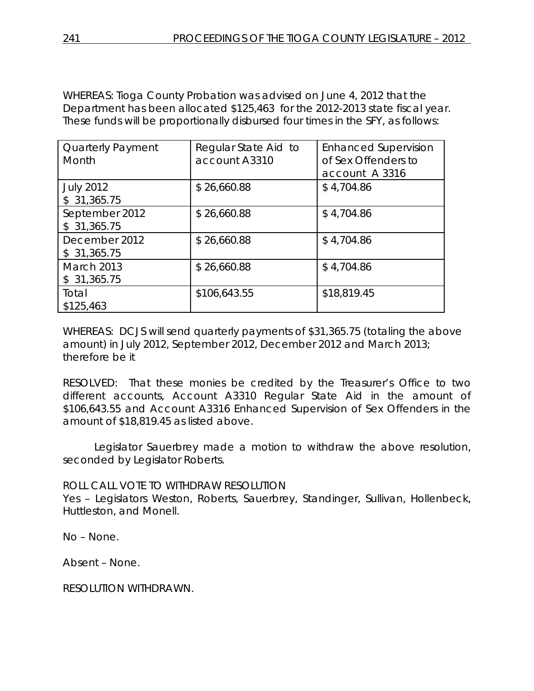WHEREAS: Tioga County Probation was advised on June 4, 2012 that the Department has been allocated \$125,463 for the 2012-2013 state fiscal year. These funds will be proportionally disbursed four times in the SFY, as follows:

| <b>Quarterly Payment</b><br>Month | Regular State Aid to<br>account A3310 | <b>Enhanced Supervision</b><br>of Sex Offenders to<br>account A 3316 |
|-----------------------------------|---------------------------------------|----------------------------------------------------------------------|
| <b>July 2012</b><br>\$31,365.75   | \$26,660.88                           | \$4,704.86                                                           |
| September 2012<br>\$31,365.75     | \$26,660.88                           | \$4,704.86                                                           |
| December 2012<br>\$31,365.75      | \$26,660.88                           | \$4,704.86                                                           |
| <b>March 2013</b><br>\$31,365.75  | \$26,660.88                           | \$4,704.86                                                           |
| Total<br>\$125,463                | \$106,643.55                          | \$18,819.45                                                          |

WHEREAS: DCJS will send quarterly payments of \$31,365.75 (totaling the above amount) in July 2012, September 2012, December 2012 and March 2013; therefore be it

RESOLVED: That these monies be credited by the Treasurer's Office to two different accounts, Account A3310 Regular State Aid in the amount of \$106,643.55 and Account A3316 Enhanced Supervision of Sex Offenders in the amount of \$18,819.45 as listed above.

Legislator Sauerbrey made a motion to withdraw the above resolution, seconded by Legislator Roberts.

ROLL CALL VOTE TO WITHDRAW RESOLUTION

Yes – Legislators Weston, Roberts, Sauerbrey, Standinger, Sullivan, Hollenbeck, Huttleston, and Monell.

No – None.

Absent – None.

RESOLUTION WITHDRAWN.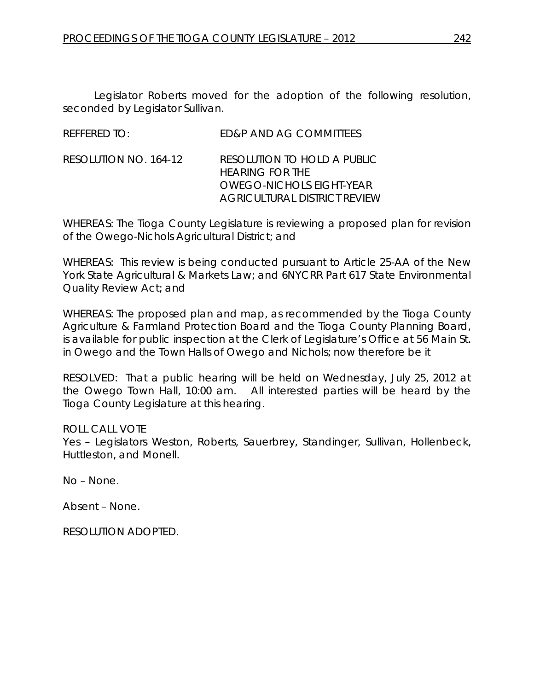Legislator Roberts moved for the adoption of the following resolution, seconded by Legislator Sullivan.

| RESOLUTION NO. 164-12<br>RESOLUTION TO HOLD A PUBLIC<br><b>HEARING FOR THE</b> |  |
|--------------------------------------------------------------------------------|--|
| <b>OWEGO-NICHOLS EIGHT-YEAR</b><br><b>AGRICULTURAL DISTRICT REVIEW</b>         |  |

WHEREAS: The Tioga County Legislature is reviewing a proposed plan for revision of the Owego-Nichols Agricultural District; and

WHEREAS: This review is being conducted pursuant to Article 25-AA of the New York State Agricultural & Markets Law; and 6NYCRR Part 617 State Environmental Quality Review Act; and

WHEREAS: The proposed plan and map, as recommended by the Tioga County Agriculture & Farmland Protection Board and the Tioga County Planning Board, is available for public inspection at the Clerk of Legislature's Office at 56 Main St. in Owego and the Town Halls of Owego and Nichols; now therefore be it

RESOLVED: That a public hearing will be held on Wednesday, July 25, 2012 at the Owego Town Hall, 10:00 am. All interested parties will be heard by the Tioga County Legislature at this hearing.

### ROLL CALL VOTE

Yes – Legislators Weston, Roberts, Sauerbrey, Standinger, Sullivan, Hollenbeck, Huttleston, and Monell.

No – None.

Absent – None.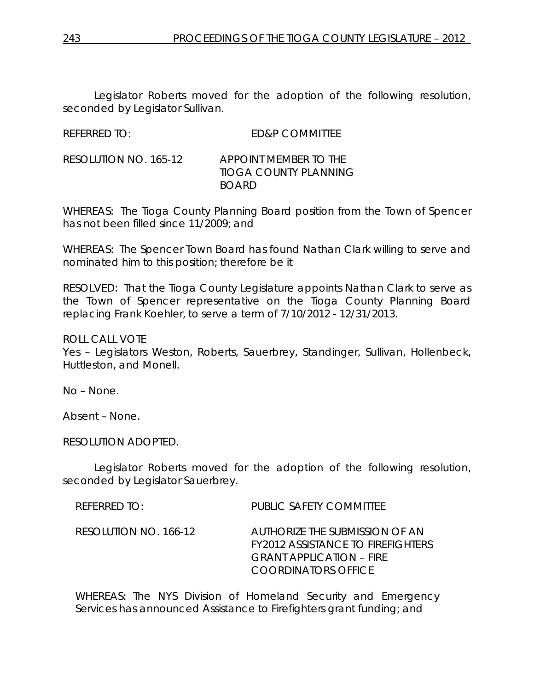Legislator Roberts moved for the adoption of the following resolution, seconded by Legislator Sullivan.

REFERRED TO: ED&P COMMITTEE

RESOLUTION NO. 165-12 *APPOINT MEMBER TO THE TIOGA COUNTY PLANNING BOARD*

WHEREAS: The Tioga County Planning Board position from the Town of Spencer has not been filled since 11/2009; and

WHEREAS: The Spencer Town Board has found Nathan Clark willing to serve and nominated him to this position; therefore be it

RESOLVED: That the Tioga County Legislature appoints Nathan Clark to serve as the Town of Spencer representative on the Tioga County Planning Board replacing Frank Koehler, to serve a term of 7/10/2012 - 12/31/2013.

ROLL CALL VOTE

Yes – Legislators Weston, Roberts, Sauerbrey, Standinger, Sullivan, Hollenbeck, Huttleston, and Monell.

No – None.

Absent – None.

RESOLUTION ADOPTED.

Legislator Roberts moved for the adoption of the following resolution, seconded by Legislator Sauerbrey.

| REFERRED TO:          | PUBLIC SAFETY COMMITTEE                                                                                                              |
|-----------------------|--------------------------------------------------------------------------------------------------------------------------------------|
| RESOLUTION NO. 166-12 | AUTHORIZE THE SUBMISSION OF AN<br><b>FY2012 ASSISTANCE TO FIREFIGHTERS</b><br><b>GRANT APPLICATION - FIRE</b><br>COORDINATORS OFFICE |

WHEREAS: The NYS Division of Homeland Security and Emergency Services has announced Assistance to Firefighters grant funding; and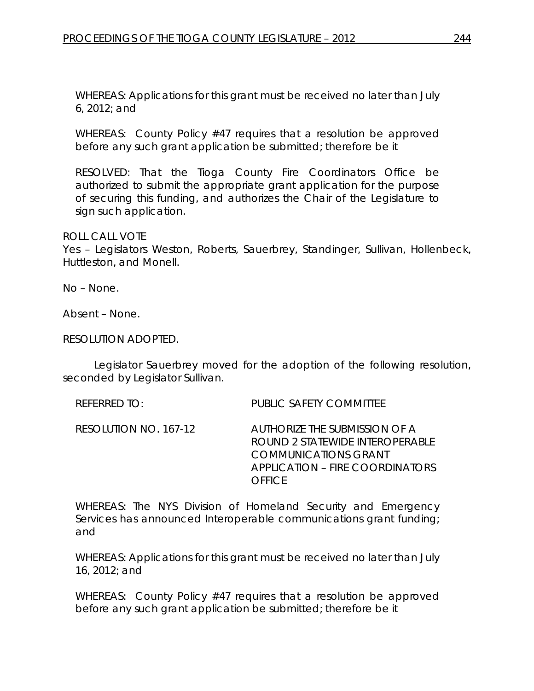WHEREAS: Applications for this grant must be received no later than July 6, 2012; and

WHEREAS: County Policy #47 requires that a resolution be approved before any such grant application be submitted; therefore be it

RESOLVED: That the Tioga County Fire Coordinators Office be authorized to submit the appropriate grant application for the purpose of securing this funding, and authorizes the Chair of the Legislature to sign such application.

#### ROLL CALL VOTE

Yes – Legislators Weston, Roberts, Sauerbrey, Standinger, Sullivan, Hollenbeck, Huttleston, and Monell.

No – None.

Absent – None.

RESOLUTION ADOPTED.

Legislator Sauerbrey moved for the adoption of the following resolution, seconded by Legislator Sullivan.

REFERRED TO: PUBLIC SAFETY COMMITTEE

RESOLUTION NO. 167-12 *AUTHORIZE THE SUBMISSION OF A ROUND 2 STATEWIDE INTEROPERABLE COMMUNICATIONS GRANT APPLICATION – FIRE COORDINATORS OFFICE*

WHEREAS: The NYS Division of Homeland Security and Emergency Services has announced Interoperable communications grant funding; and

WHEREAS: Applications for this grant must be received no later than July 16, 2012; and

WHEREAS: County Policy #47 requires that a resolution be approved before any such grant application be submitted; therefore be it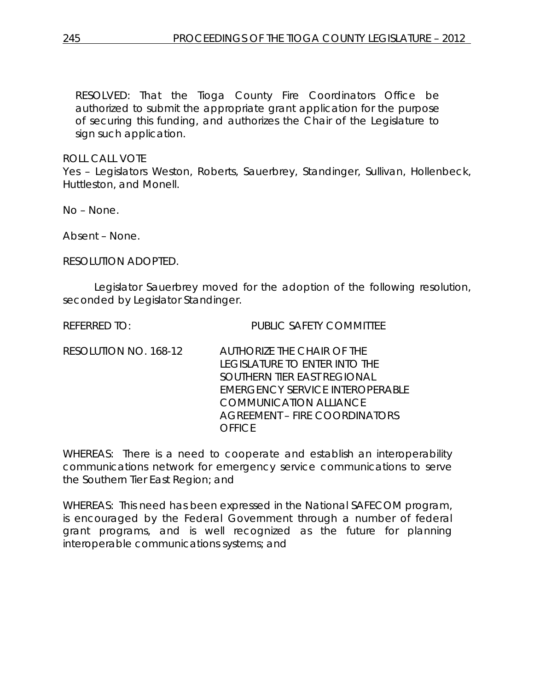RESOLVED: That the Tioga County Fire Coordinators Office be authorized to submit the appropriate grant application for the purpose of securing this funding, and authorizes the Chair of the Legislature to sign such application.

ROLL CALL VOTE

Yes – Legislators Weston, Roberts, Sauerbrey, Standinger, Sullivan, Hollenbeck, Huttleston, and Monell.

No – None.

Absent – None.

RESOLUTION ADOPTED.

Legislator Sauerbrey moved for the adoption of the following resolution, seconded by Legislator Standinger.

REFERRED TO: PUBLIC SAFETY COMMITTEE

RESOLUTION NO. 168-12 *AUTHORIZE THE CHAIR OF THE LEGISLATURE TO ENTER INTO THE SOUTHERN TIER EAST REGIONAL EMERGENCY SERVICE INTEROPERABLE COMMUNICATION ALLIANCE AGREEMENT – FIRE COORDINATORS OFFICE*

WHEREAS: There is a need to cooperate and establish an interoperability communications network for emergency service communications to serve the Southern Tier East Region; and

WHEREAS: This need has been expressed in the National SAFECOM program, is encouraged by the Federal Government through a number of federal grant programs, and is well recognized as the future for planning interoperable communications systems; and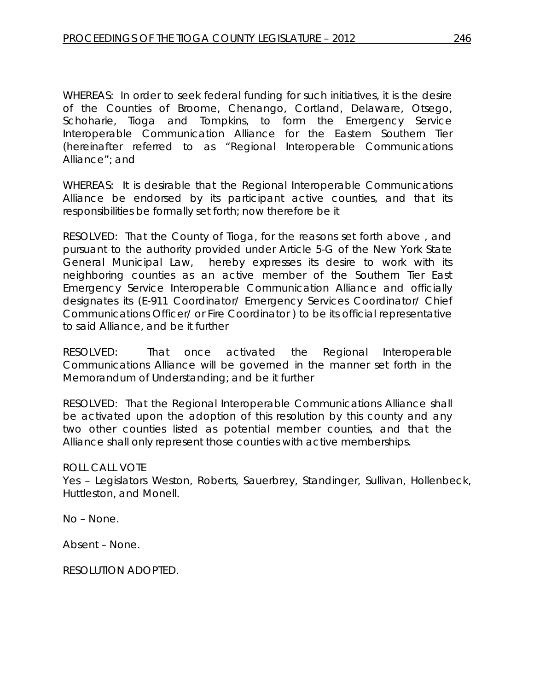WHEREAS: In order to seek federal funding for such initiatives, it is the desire of the Counties of Broome, Chenango, Cortland, Delaware, Otsego, Schoharie, Tioga and Tompkins, to form the Emergency Service Interoperable Communication Alliance for the Eastern Southern Tier (hereinafter referred to as "Regional Interoperable Communications Alliance"; and

WHEREAS: It is desirable that the Regional Interoperable Communications Alliance be endorsed by its participant active counties, and that its responsibilities be formally set forth; now therefore be it

RESOLVED: That the County of Tioga, for the reasons set forth above , and pursuant to the authority provided under Article 5-G of the New York State General Municipal Law, hereby expresses its desire to work with its neighboring counties as an active member of the Southern Tier East Emergency Service Interoperable Communication Alliance and officially designates its (E-911 Coordinator/ Emergency Services Coordinator/ Chief Communications Officer/ or Fire Coordinator ) to be its official representative to said Alliance, and be it further

RESOLVED: That once activated the Regional Interoperable Communications Alliance will be governed in the manner set forth in the Memorandum of Understanding; and be it further

RESOLVED: That the Regional Interoperable Communications Alliance shall be activated upon the adoption of this resolution by this county and any two other counties listed as potential member counties, and that the Alliance shall only represent those counties with active memberships.

### ROLL CALL VOTE

Yes – Legislators Weston, Roberts, Sauerbrey, Standinger, Sullivan, Hollenbeck, Huttleston, and Monell.

No – None.

Absent – None.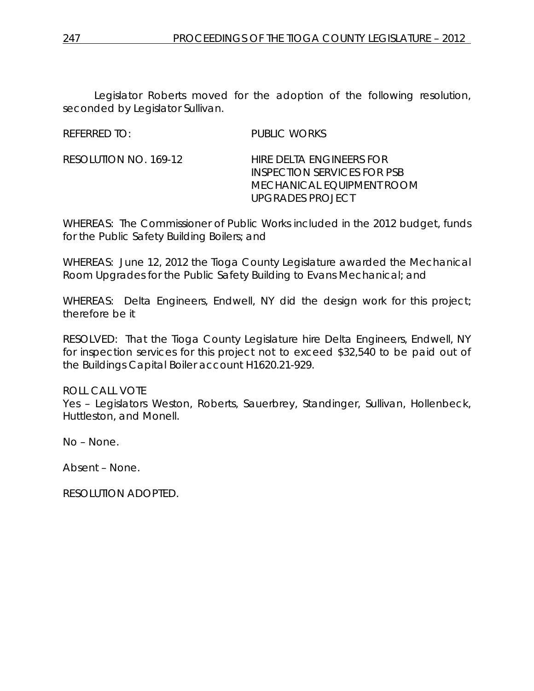Legislator Roberts moved for the adoption of the following resolution, seconded by Legislator Sullivan.

REFERRED TO: PUBLIC WORKS

RESOLUTION NO. 169-12 *HIRE DELTA ENGINEERS FOR INSPECTION SERVICES FOR PSB MECHANICAL EQUIPMENT ROOM UPGRADES PROJECT*

WHEREAS: The Commissioner of Public Works included in the 2012 budget, funds for the Public Safety Building Boilers; and

WHEREAS: June 12, 2012 the Tioga County Legislature awarded the Mechanical Room Upgrades for the Public Safety Building to Evans Mechanical; and

WHEREAS: Delta Engineers, Endwell, NY did the design work for this project; therefore be it

RESOLVED: That the Tioga County Legislature hire Delta Engineers, Endwell, NY for inspection services for this project not to exceed \$32,540 to be paid out of the Buildings Capital Boiler account H1620.21-929.

### ROLL CALL VOTE

Yes – Legislators Weston, Roberts, Sauerbrey, Standinger, Sullivan, Hollenbeck, Huttleston, and Monell.

No – None.

Absent – None.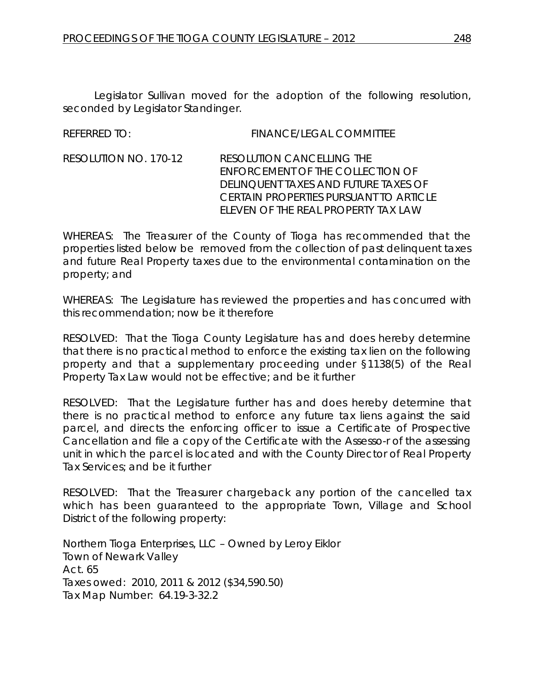Legislator Sullivan moved for the adoption of the following resolution, seconded by Legislator Standinger.

REFERRED TO: FINANCE/LEGAL COMMITTEE

RESOLUTION NO. 170-12 *RESOLUTION CANCELLING THE ENFORCEMENT OF THE COLLECTION OF DELINQUENT TAXES AND FUTURE TAXES OF CERTAIN PROPERTIES PURSUANT TO ARTICLE ELEVEN OF THE REAL PROPERTY TAX LAW*

WHEREAS: The Treasurer of the County of Tioga has recommended that the properties listed below be removed from the collection of past delinquent taxes and future Real Property taxes due to the environmental contamination on the property; and

WHEREAS: The Legislature has reviewed the properties and has concurred with this recommendation; now be it therefore

RESOLVED: That the Tioga County Legislature has and does hereby determine that there is no practical method to enforce the existing tax lien on the following property and that a supplementary proceeding under §1138(5) of the Real Property Tax Law would not be effective; and be it further

RESOLVED: That the Legislature further has and does hereby determine that there is no practical method to enforce any future tax liens against the said parcel, and directs the enforcing officer to issue a Certificate of Prospective Cancellation and file a copy of the Certificate with the Assesso-r of the assessing unit in which the parcel is located and with the County Director of Real Property Tax Services; and be it further

RESOLVED: That the Treasurer chargeback any portion of the cancelled tax which has been guaranteed to the appropriate Town, Village and School District of the following property:

Northern Tioga Enterprises, LLC – Owned by Leroy Eiklor Town of Newark Valley Act. 65 Taxes owed: 2010, 2011 & 2012 (\$34,590.50) Tax Map Number: 64.19-3-32.2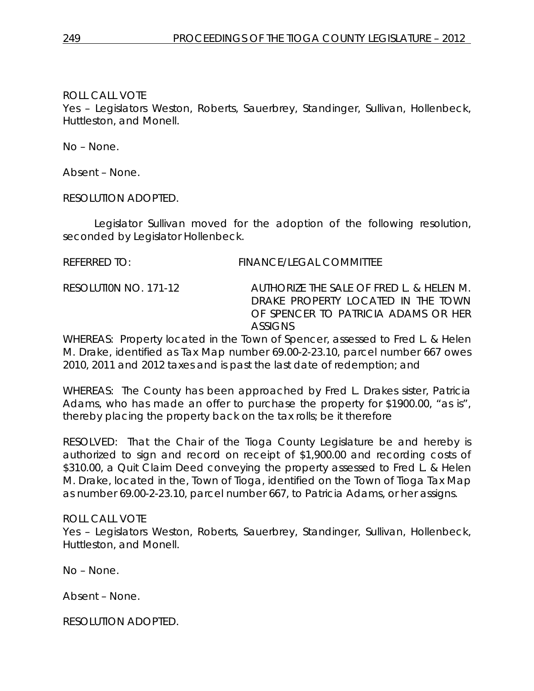## ROLL CALL VOTE

Yes – Legislators Weston, Roberts, Sauerbrey, Standinger, Sullivan, Hollenbeck, Huttleston, and Monell.

No – None.

Absent – None.

RESOLUTION ADOPTED.

Legislator Sullivan moved for the adoption of the following resolution, seconded by Legislator Hollenbeck.

### REFERRED TO: FINANCE/LEGAL COMMITTEE

RESOLUTI0N NO. 171-12 *AUTHORIZE THE SALE OF FRED L. & HELEN M. DRAKE PROPERTY LOCATED IN THE TOWN OF SPENCER TO PATRICIA ADAMS OR HER ASSIGNS* 

WHEREAS: Property located in the Town of Spencer, assessed to Fred L. & Helen M. Drake, identified as Tax Map number 69.00-2-23.10, parcel number 667 owes 2010, 2011 and 2012 taxes and is past the last date of redemption; and

WHEREAS: The County has been approached by Fred L. Drakes sister, Patricia Adams, who has made an offer to purchase the property for \$1900.00, "as is", thereby placing the property back on the tax rolls; be it therefore

RESOLVED: That the Chair of the Tioga County Legislature be and hereby is authorized to sign and record on receipt of \$1,900.00 and recording costs of \$310.00, a Quit Claim Deed conveying the property assessed to Fred L. & Helen M. Drake, located in the, Town of Tioga, identified on the Town of Tioga Tax Map as number 69.00-2-23.10, parcel number 667, to Patricia Adams, or her assigns.

### ROLL CALL VOTE

Yes – Legislators Weston, Roberts, Sauerbrey, Standinger, Sullivan, Hollenbeck, Huttleston, and Monell.

No – None.

Absent – None.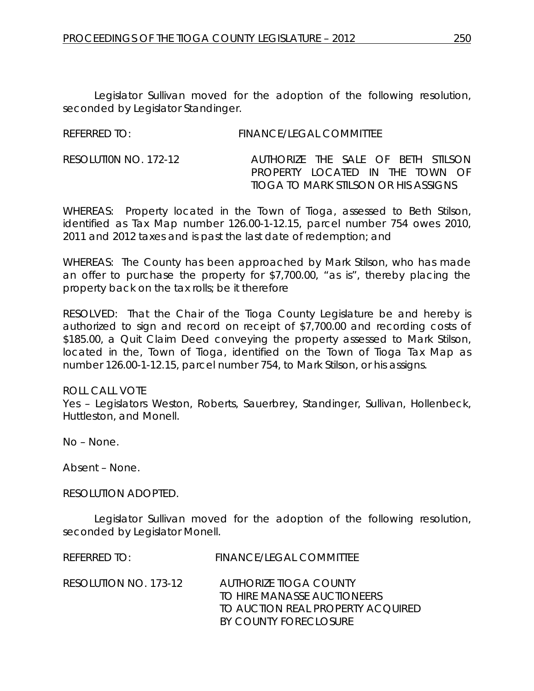Legislator Sullivan moved for the adoption of the following resolution, seconded by Legislator Standinger.

| <b>REFERRED TO:</b> | <b>FINANCE/LEGAL COMMITTEE</b> |
|---------------------|--------------------------------|
|                     |                                |

RESOLUTI0N NO. 172-12 *AUTHORIZE THE SALE OF BETH STILSON PROPERTY LOCATED IN THE TOWN OF TIOGA TO MARK STILSON OR HIS ASSIGNS* 

WHEREAS: Property located in the Town of Tioga, assessed to Beth Stilson, identified as Tax Map number 126.00-1-12.15, parcel number 754 owes 2010, 2011 and 2012 taxes and is past the last date of redemption; and

WHEREAS: The County has been approached by Mark Stilson, who has made an offer to purchase the property for \$7,700.00, "as is", thereby placing the property back on the tax rolls; be it therefore

RESOLVED: That the Chair of the Tioga County Legislature be and hereby is authorized to sign and record on receipt of \$7,700.00 and recording costs of \$185.00, a Quit Claim Deed conveying the property assessed to Mark Stilson, located in the, Town of Tioga, identified on the Town of Tioga Tax Map as number 126.00-1-12.15, parcel number 754, to Mark Stilson, or his assigns.

ROLL CALL VOTE Yes – Legislators Weston, Roberts, Sauerbrey, Standinger, Sullivan, Hollenbeck, Huttleston, and Monell.

No – None.

Absent – None.

RESOLUTION ADOPTED.

Legislator Sullivan moved for the adoption of the following resolution, seconded by Legislator Monell.

| REFERRED TO:          | <b>FINANCE/LEGAL COMMITTEE</b>                                                                                      |
|-----------------------|---------------------------------------------------------------------------------------------------------------------|
| RESOLUTION NO. 173-12 | AUTHORIZE TIOGA COUNTY<br>TO HIRE MANASSE AUCTIONEERS<br>TO AUCTION REAL PROPERTY ACOUIRED<br>BY COUNTY FORECLOSURE |
|                       |                                                                                                                     |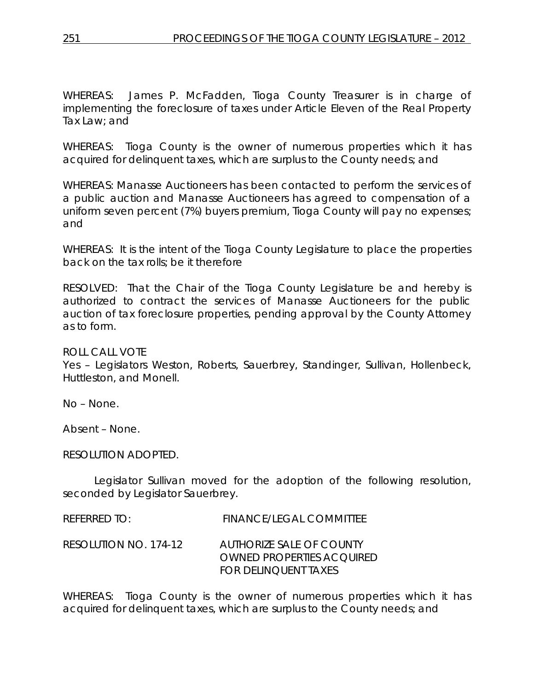WHEREAS: James P. McFadden, Tioga County Treasurer is in charge of implementing the foreclosure of taxes under Article Eleven of the Real Property Tax Law; and

WHEREAS: Tioga County is the owner of numerous properties which it has acquired for delinquent taxes, which are surplus to the County needs; and

WHEREAS: Manasse Auctioneers has been contacted to perform the services of a public auction and Manasse Auctioneers has agreed to compensation of a uniform seven percent (7%) buyers premium, Tioga County will pay no expenses; and

WHEREAS: It is the intent of the Tioga County Legislature to place the properties back on the tax rolls; be it therefore

RESOLVED: That the Chair of the Tioga County Legislature be and hereby is authorized to contract the services of Manasse Auctioneers for the public auction of tax foreclosure properties, pending approval by the County Attorney as to form.

### ROLL CALL VOTE

Yes – Legislators Weston, Roberts, Sauerbrey, Standinger, Sullivan, Hollenbeck, Huttleston, and Monell.

No – None.

Absent – None.

### RESOLUTION ADOPTED.

Legislator Sullivan moved for the adoption of the following resolution, seconded by Legislator Sauerbrey.

| $R$ FFFRRFD TO:       | FINANCE/LEGAL COMMITTEE                                                       |
|-----------------------|-------------------------------------------------------------------------------|
| RESOLUTION NO. 174-12 | AUTHORIZE SALE OF COUNTY<br>OWNED PROPERTIES ACOUIRED<br>FOR DELINOUENT TAXES |

WHEREAS: Tioga County is the owner of numerous properties which it has acquired for delinquent taxes, which are surplus to the County needs; and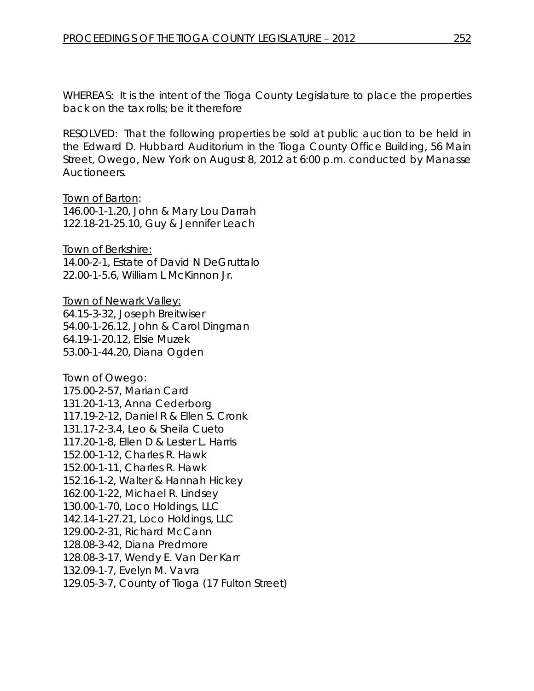WHEREAS: It is the intent of the Tioga County Legislature to place the properties back on the tax rolls; be it therefore

RESOLVED: That the following properties be sold at public auction to be held in the Edward D. Hubbard Auditorium in the Tioga County Office Building, 56 Main Street, Owego, New York on August 8, 2012 at 6:00 p.m. conducted by Manasse Auctioneers.

#### Town of Barton:

146.00-1-1.20, John & Mary Lou Darrah 122.18-21-25.10, Guy & Jennifer Leach

Town of Berkshire: 14.00-2-1, Estate of David N DeGruttalo 22.00-1-5.6, William L McKinnon Jr.

Town of Newark Valley: 64.15-3-32, Joseph Breitwiser 54.00-1-26.12, John & Carol Dingman 64.19-1-20.12, Elsie Muzek 53.00-1-44.20, Diana Ogden

Town of Owego: 175.00-2-57, Marian Card 131.20-1-13, Anna Cederborg 117.19-2-12, Daniel R & Ellen S. Cronk 131.17-2-3.4, Leo & Sheila Cueto 117.20-1-8, Ellen D & Lester L. Harris 152.00-1-12, Charles R. Hawk 152.00-1-11, Charles R. Hawk 152.16-1-2, Walter & Hannah Hickey 162.00-1-22, Michael R. Lindsey 130.00-1-70, Loco Holdings, LLC 142.14-1-27.21, Loco Holdings, LLC 129.00-2-31, Richard McCann 128.08-3-42, Diana Predmore 128.08-3-17, Wendy E. Van Der Karr 132.09-1-7, Evelyn M. Vavra 129.05-3-7, County of Tioga (17 Fulton Street)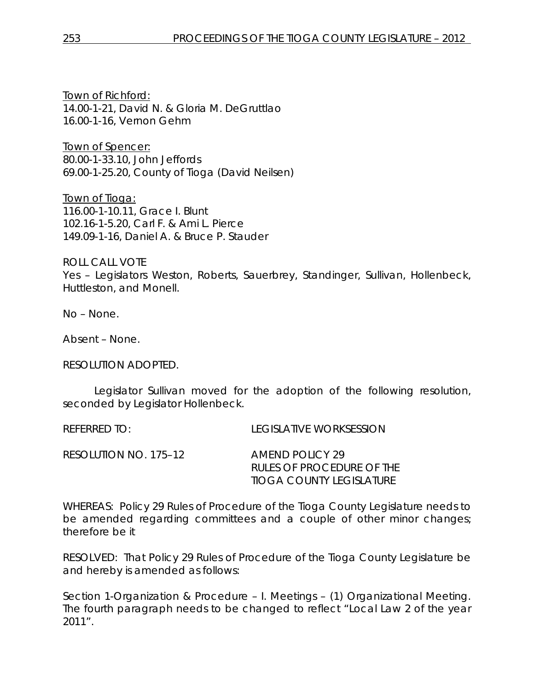Town of Richford: 14.00-1-21, David N. & Gloria M. DeGruttlao 16.00-1-16, Vernon Gehm

Town of Spencer: 80.00-1-33.10, John Jeffords 69.00-1-25.20, County of Tioga (David Neilsen)

Town of Tioga: 116.00-1-10.11, Grace I. Blunt 102.16-1-5.20, Carl F. & Ami L. Pierce 149.09-1-16, Daniel A. & Bruce P. Stauder

ROLL CALL VOTE Yes – Legislators Weston, Roberts, Sauerbrey, Standinger, Sullivan, Hollenbeck, Huttleston, and Monell.

No – None.

Absent – None.

RESOLUTION ADOPTED.

Legislator Sullivan moved for the adoption of the following resolution, seconded by Legislator Hollenbeck.

REFERRED TO: LEGISLATIVE WORKSESSION

| RESOLUTION NO. 175–12 | AMEND POLICY 29           |
|-----------------------|---------------------------|
|                       | RULES OF PROCEDURE OF THE |
|                       | TIOGA COUNTY LEGISLATURE  |

WHEREAS: Policy 29 Rules of Procedure of the Tioga County Legislature needs to be amended regarding committees and a couple of other minor changes; therefore be it

RESOLVED: That Policy 29 Rules of Procedure of the Tioga County Legislature be and hereby is amended as follows:

Section 1-Organization & Procedure – I. Meetings – (1) Organizational Meeting. The fourth paragraph needs to be changed to reflect "Local Law 2 of the year 2011".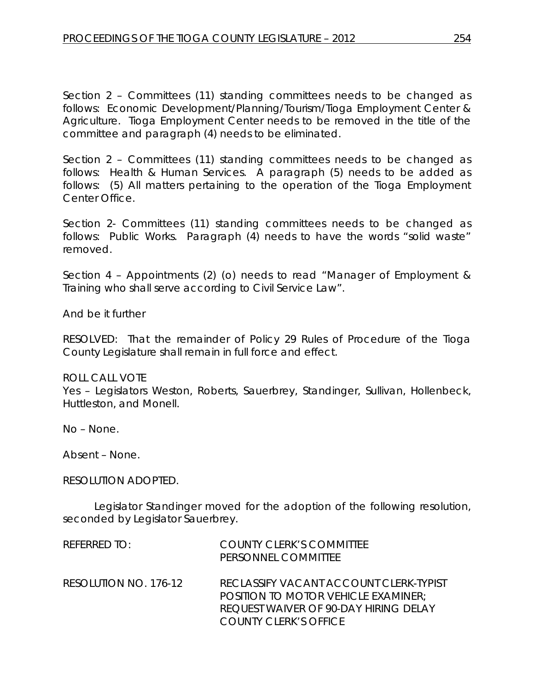Section 2 – Committees (11) standing committees needs to be changed as follows: Economic Development/Planning/Tourism/Tioga Employment Center & Agriculture. Tioga Employment Center needs to be removed in the title of the committee and paragraph (4) needs to be eliminated.

Section 2 – Committees (11) standing committees needs to be changed as follows: Health & Human Services. A paragraph (5) needs to be added as follows: (5) All matters pertaining to the operation of the Tioga Employment Center Office.

Section 2- Committees (11) standing committees needs to be changed as follows: Public Works. Paragraph (4) needs to have the words "solid waste" removed.

Section 4 – Appointments (2) (o) needs to read "Manager of Employment & Training who shall serve according to Civil Service Law".

And be it further

RESOLVED: That the remainder of Policy 29 Rules of Procedure of the Tioga County Legislature shall remain in full force and effect.

### ROLL CALL VOTE

Yes – Legislators Weston, Roberts, Sauerbrey, Standinger, Sullivan, Hollenbeck, Huttleston, and Monell.

No – None.

Absent – None.

### RESOLUTION ADOPTED.

Legislator Standinger moved for the adoption of the following resolution, seconded by Legislator Sauerbrey.

| REFERRED TO:          | <b>COUNTY CLERK'S COMMITTEE</b><br>PERSONNEL COMMITTEE                                                                                                               |
|-----------------------|----------------------------------------------------------------------------------------------------------------------------------------------------------------------|
| RESOLUTION NO. 176-12 | RECLASSIFY VACANT ACCOUNT CLERK-TYPIST<br><b>POSITION TO MOTOR VEHICLE EXAMINER:</b><br><b>REQUEST WAIVER OF 90-DAY HIRING DELAY</b><br><b>COUNTY CLERK'S OFFICE</b> |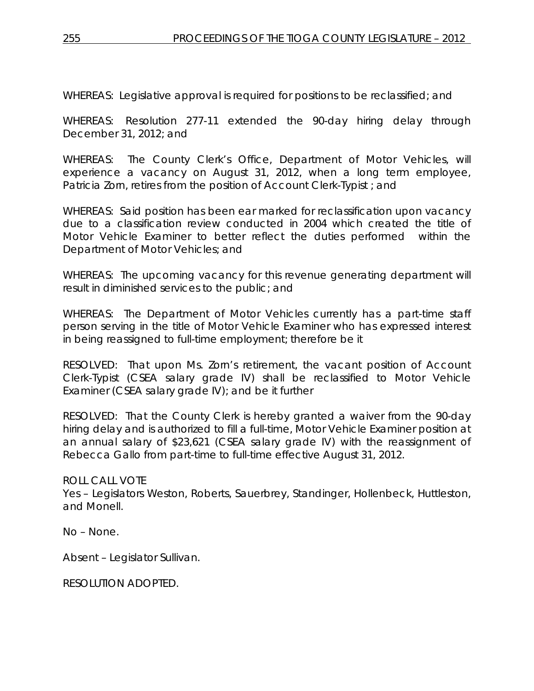WHEREAS: Legislative approval is required for positions to be reclassified; and

WHEREAS: Resolution 277-11 extended the 90-day hiring delay through December 31, 2012; and

WHEREAS: The County Clerk's Office, Department of Motor Vehicles, will experience a vacancy on August 31, 2012, when a long term employee, Patricia Zorn, retires from the position of Account Clerk-Typist ; and

WHEREAS: Said position has been ear marked for reclassification upon vacancy due to a classification review conducted in 2004 which created the title of Motor Vehicle Examiner to better reflect the duties performed within the Department of Motor Vehicles; and

WHEREAS: The upcoming vacancy for this revenue generating department will result in diminished services to the public; and

WHEREAS: The Department of Motor Vehicles currently has a part-time staff person serving in the title of Motor Vehicle Examiner who has expressed interest in being reassigned to full-time employment; therefore be it

RESOLVED: That upon Ms. Zorn's retirement, the vacant position of Account Clerk-Typist (CSEA salary grade IV) shall be reclassified to Motor Vehicle Examiner (CSEA salary grade IV); and be it further

RESOLVED: That the County Clerk is hereby granted a waiver from the 90-day hiring delay and is authorized to fill a full-time, Motor Vehicle Examiner position at an annual salary of \$23,621 (CSEA salary grade IV) with the reassignment of Rebecca Gallo from part-time to full-time effective August 31, 2012.

ROLL CALL VOTE

Yes – Legislators Weston, Roberts, Sauerbrey, Standinger, Hollenbeck, Huttleston, and Monell.

No – None.

Absent – Legislator Sullivan.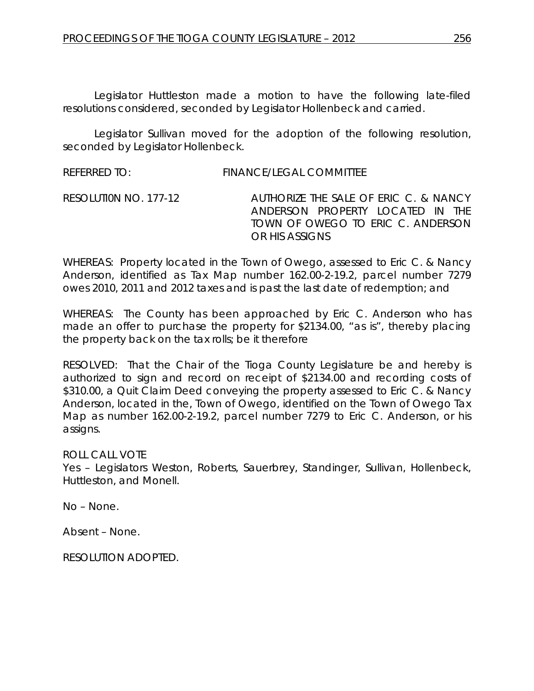Legislator Huttleston made a motion to have the following late-filed resolutions considered, seconded by Legislator Hollenbeck and carried.

Legislator Sullivan moved for the adoption of the following resolution, seconded by Legislator Hollenbeck.

REFERRED TO: FINANCE/LEGAL COMMITTEE

RESOLUTI0N NO. 177-12 *AUTHORIZE THE SALE OF ERIC C. & NANCY ANDERSON PROPERTY LOCATED IN THE TOWN OF OWEGO TO ERIC C. ANDERSON OR HIS ASSIGNS* 

WHEREAS: Property located in the Town of Owego, assessed to Eric C. & Nancy Anderson, identified as Tax Map number 162.00-2-19.2, parcel number 7279 owes 2010, 2011 and 2012 taxes and is past the last date of redemption; and

WHEREAS: The County has been approached by Eric C. Anderson who has made an offer to purchase the property for \$2134.00, "as is", thereby placing the property back on the tax rolls; be it therefore

RESOLVED: That the Chair of the Tioga County Legislature be and hereby is authorized to sign and record on receipt of \$2134.00 and recording costs of \$310.00, a Quit Claim Deed conveying the property assessed to Eric C. & Nancy Anderson, located in the, Town of Owego, identified on the Town of Owego Tax Map as number 162.00-2-19.2, parcel number 7279 to Eric C. Anderson, or his assigns.

ROLL CALL VOTE

Yes – Legislators Weston, Roberts, Sauerbrey, Standinger, Sullivan, Hollenbeck, Huttleston, and Monell.

No – None.

Absent – None.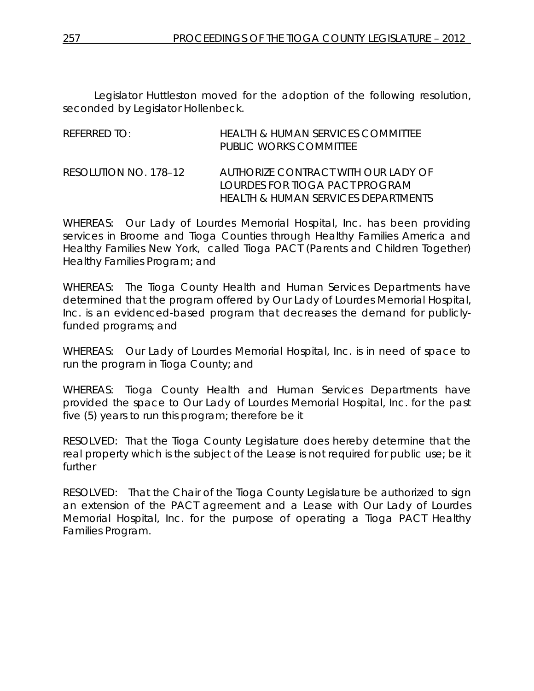Legislator Huttleston moved for the adoption of the following resolution, seconded by Legislator Hollenbeck.

| REFERRED TO:          | HEALTH & HUMAN SERVICES COMMITTEE<br>PUBLIC WORKS COMMITTEE                                                  |
|-----------------------|--------------------------------------------------------------------------------------------------------------|
| RESOLUTION NO. 178-12 | AUTHORIZE CONTRACT WITH OUR LADY OF<br>LOURDES FOR TIOGA PACT PROGRAM<br>HEALTH & HUMAN SERVICES DEPARTMENTS |

WHEREAS: Our Lady of Lourdes Memorial Hospital, Inc. has been providing services in Broome and Tioga Counties through Healthy Families America and Healthy Families New York, called Tioga PACT (Parents and Children Together) Healthy Families Program; and

WHEREAS: The Tioga County Health and Human Services Departments have determined that the program offered by Our Lady of Lourdes Memorial Hospital, Inc. is an evidenced-based program that decreases the demand for publiclyfunded programs; and

WHEREAS: Our Lady of Lourdes Memorial Hospital, Inc. is in need of space to run the program in Tioga County; and

WHEREAS: Tioga County Health and Human Services Departments have provided the space to Our Lady of Lourdes Memorial Hospital, Inc. for the past five (5) years to run this program; therefore be it

RESOLVED: That the Tioga County Legislature does hereby determine that the real property which is the subject of the Lease is not required for public use; be it further

RESOLVED: That the Chair of the Tioga County Legislature be authorized to sign an extension of the PACT agreement and a Lease with Our Lady of Lourdes Memorial Hospital, Inc. for the purpose of operating a Tioga PACT Healthy Families Program.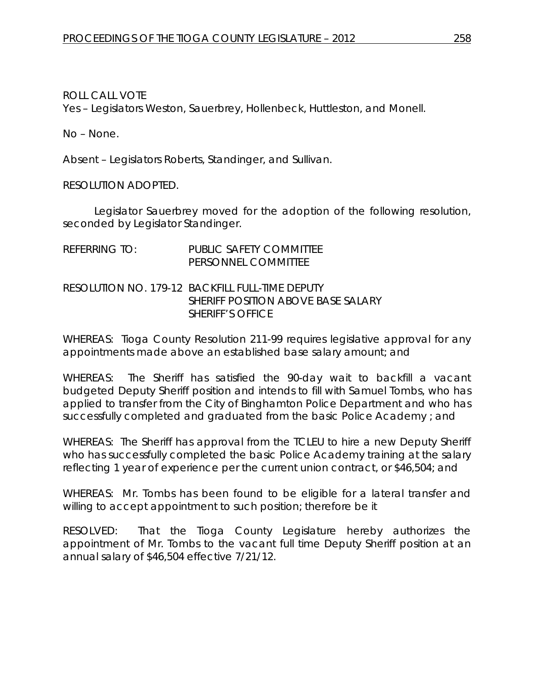ROLL CALL VOTE

Yes – Legislators Weston, Sauerbrey, Hollenbeck, Huttleston, and Monell.

No – None.

Absent – Legislators Roberts, Standinger, and Sullivan.

RESOLUTION ADOPTED.

Legislator Sauerbrey moved for the adoption of the following resolution, seconded by Legislator Standinger.

| referring to: | PUBLIC SAFETY COMMITTEE<br>PERSONNEL COMMITTEE                                                                    |
|---------------|-------------------------------------------------------------------------------------------------------------------|
|               | RESOLUTION NO. 179-12  BACKFILL FULL-TIME DEPUTY<br>SHERIFF POSITION ABOVE BASE SALARY<br><b>SHERIFF'S OFFICE</b> |

WHEREAS: Tioga County Resolution 211-99 requires legislative approval for any appointments made above an established base salary amount; and

WHEREAS: The Sheriff has satisfied the 90-day wait to backfill a vacant budgeted Deputy Sheriff position and intends to fill with Samuel Tombs, who has applied to transfer from the City of Binghamton Police Department and who has successfully completed and graduated from the basic Police Academy ; and

WHEREAS: The Sheriff has approval from the TCLEU to hire a new Deputy Sheriff who has successfully completed the basic Police Academy training at the salary reflecting 1 year of experience per the current union contract, or \$46,504; and

WHEREAS: Mr. Tombs has been found to be eligible for a lateral transfer and willing to accept appointment to such position; therefore be it

RESOLVED: That the Tioga County Legislature hereby authorizes the appointment of Mr. Tombs to the vacant full time Deputy Sheriff position at an annual salary of \$46,504 effective 7/21/12.